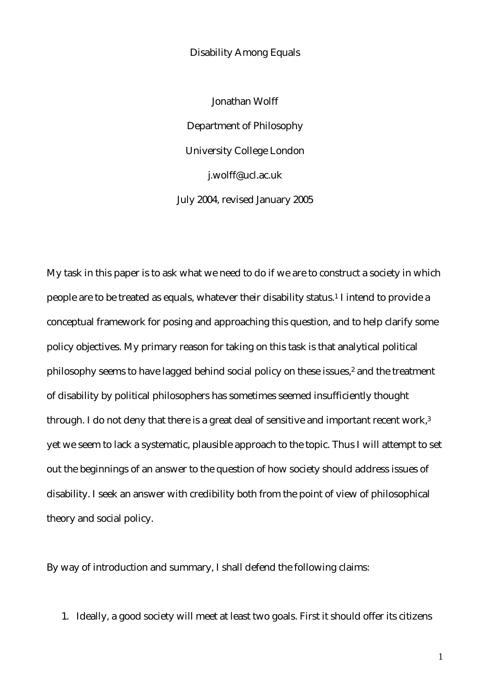Disability Among Equals

Jonathan Wolff Department of Philosophy University College London j.wolff@ucl.ac.uk July 2004, revised January 2005

My task in this paper is to ask what we need to do if we are to construct a society in which people are to be treated as equals, whatever their disability status.1 I intend to provide a conceptual framework for posing and approaching this question, and to help clarify some policy objectives. My primary reason for taking on this task is that analytical political philosophy seems to have lagged behind social policy on these issues,2 and the treatment of disability by political philosophers has sometimes seemed insufficiently thought through. I do not deny that there is a great deal of sensitive and important recent work,<sup>3</sup> yet we seem to lack a systematic, plausible approach to the topic. Thus I will attempt to set out the beginnings of an answer to the question of how society should address issues of disability. I seek an answer with credibility both from the point of view of philosophical theory and social policy.

By way of introduction and summary, I shall defend the following claims:

1. Ideally, a good society will meet at least two goals. First it should offer its citizens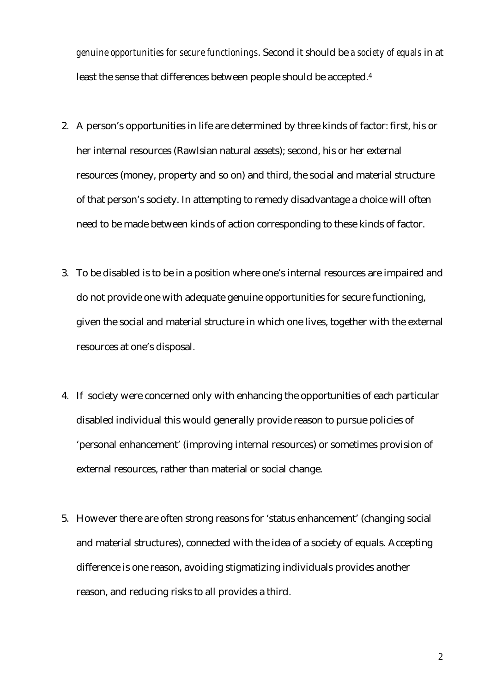*genuine opportunities for secure functionings*. Second it should be *a society of equals* in at least the sense that differences between people should be accepted.4

- 2. A person's opportunities in life are determined by three kinds of factor: first, his or her internal resources (Rawlsian natural assets); second, his or her external resources (money, property and so on) and third, the social and material structure of that person's society. In attempting to remedy disadvantage a choice will often need to be made between kinds of action corresponding to these kinds of factor.
- 3. To be disabled is to be in a position where one's internal resources are impaired and do not provide one with adequate genuine opportunities for secure functioning, given the social and material structure in which one lives, together with the external resources at one's disposal.
- 4. If society were concerned only with enhancing the opportunities of each particular disabled individual this would generally provide reason to pursue policies of 'personal enhancement' (improving internal resources) or sometimes provision of external resources, rather than material or social change.
- 5. However there are often strong reasons for 'status enhancement' (changing social and material structures), connected with the idea of a society of equals. Accepting difference is one reason, avoiding stigmatizing individuals provides another reason, and reducing risks to all provides a third.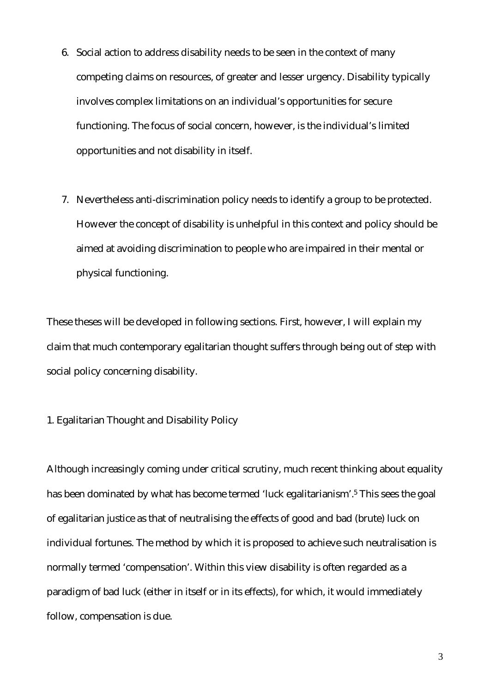- 6. Social action to address disability needs to be seen in the context of many competing claims on resources, of greater and lesser urgency. Disability typically involves complex limitations on an individual's opportunities for secure functioning. The focus of social concern, however, is the individual's limited opportunities and not disability in itself.
- 7. Nevertheless anti-discrimination policy needs to identify a group to be protected. However the concept of disability is unhelpful in this context and policy should be aimed at avoiding discrimination to people who are impaired in their mental or physical functioning.

These theses will be developed in following sections. First, however, I will explain my claim that much contemporary egalitarian thought suffers through being out of step with social policy concerning disability.

### 1. Egalitarian Thought and Disability Policy

Although increasingly coming under critical scrutiny, much recent thinking about equality has been dominated by what has become termed 'luck egalitarianism'.5 This sees the goal of egalitarian justice as that of neutralising the effects of good and bad (brute) luck on individual fortunes. The method by which it is proposed to achieve such neutralisation is normally termed 'compensation'. Within this view disability is often regarded as a paradigm of bad luck (either in itself or in its effects), for which, it would immediately follow, compensation is due.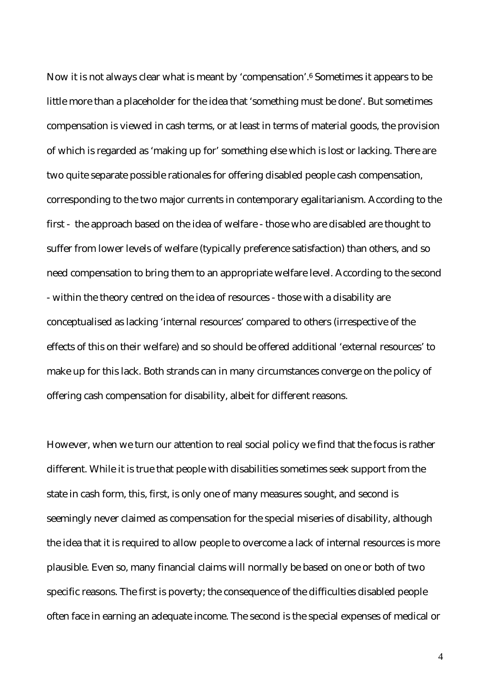Now it is not always clear what is meant by 'compensation'.6 Sometimes it appears to be little more than a placeholder for the idea that 'something must be done'. But sometimes compensation is viewed in cash terms, or at least in terms of material goods, the provision of which is regarded as 'making up for' something else which is lost or lacking. There are two quite separate possible rationales for offering disabled people cash compensation, corresponding to the two major currents in contemporary egalitarianism. According to the first - the approach based on the idea of welfare - those who are disabled are thought to suffer from lower levels of welfare (typically preference satisfaction) than others, and so need compensation to bring them to an appropriate welfare level. According to the second - within the theory centred on the idea of resources - those with a disability are conceptualised as lacking 'internal resources' compared to others (irrespective of the effects of this on their welfare) and so should be offered additional 'external resources' to make up for this lack. Both strands can in many circumstances converge on the policy of offering cash compensation for disability, albeit for different reasons.

However, when we turn our attention to real social policy we find that the focus is rather different. While it is true that people with disabilities sometimes seek support from the state in cash form, this, first, is only one of many measures sought, and second is seemingly never claimed as compensation for the special miseries of disability, although the idea that it is required to allow people to overcome a lack of internal resources is more plausible. Even so, many financial claims will normally be based on one or both of two specific reasons. The first is poverty; the consequence of the difficulties disabled people often face in earning an adequate income. The second is the special expenses of medical or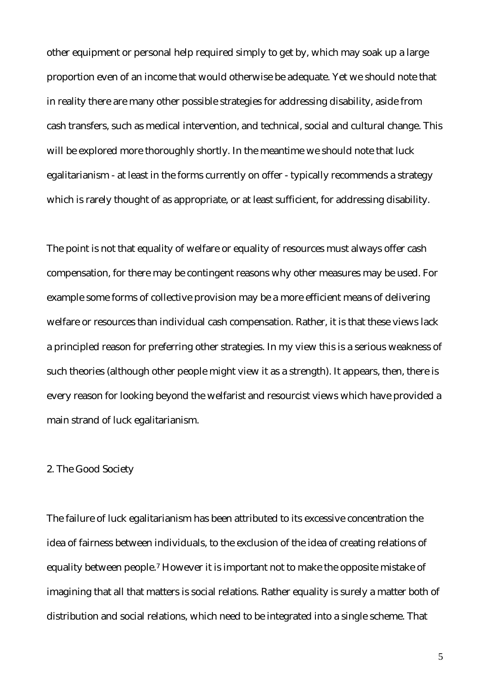other equipment or personal help required simply to get by, which may soak up a large proportion even of an income that would otherwise be adequate. Yet we should note that in reality there are many other possible strategies for addressing disability, aside from cash transfers, such as medical intervention, and technical, social and cultural change. This will be explored more thoroughly shortly. In the meantime we should note that luck egalitarianism - at least in the forms currently on offer - typically recommends a strategy which is rarely thought of as appropriate, or at least sufficient, for addressing disability.

The point is not that equality of welfare or equality of resources must always offer cash compensation, for there may be contingent reasons why other measures may be used. For example some forms of collective provision may be a more efficient means of delivering welfare or resources than individual cash compensation. Rather, it is that these views lack a principled reason for preferring other strategies. In my view this is a serious weakness of such theories (although other people might view it as a strength). It appears, then, there is every reason for looking beyond the welfarist and resourcist views which have provided a main strand of luck egalitarianism.

### 2. The Good Society

The failure of luck egalitarianism has been attributed to its excessive concentration the idea of fairness between individuals, to the exclusion of the idea of creating relations of equality between people.7 However it is important not to make the opposite mistake of imagining that all that matters is social relations. Rather equality is surely a matter both of distribution and social relations, which need to be integrated into a single scheme. That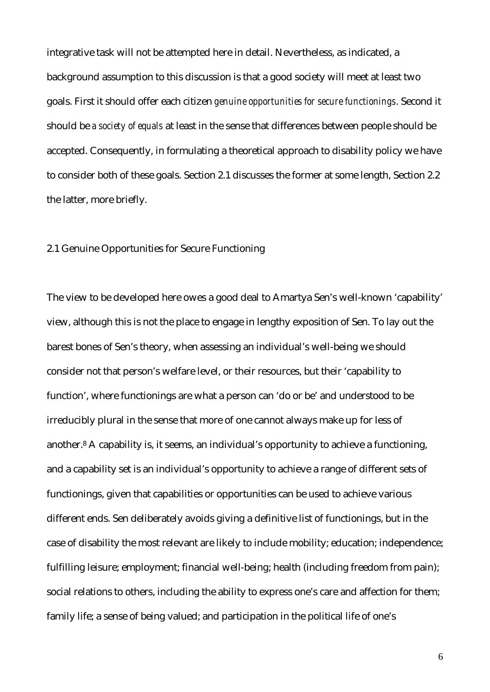integrative task will not be attempted here in detail. Nevertheless, as indicated, a background assumption to this discussion is that a good society will meet at least two goals. First it should offer each citizen *genuine opportunities for secure functionings*. Second it should be *a society of equals* at least in the sense that differences between people should be accepted. Consequently, in formulating a theoretical approach to disability policy we have to consider both of these goals. Section 2.1 discusses the former at some length, Section 2.2 the latter, more briefly.

# 2.1 Genuine Opportunities for Secure Functioning

The view to be developed here owes a good deal to Amartya Sen's well-known 'capability' view, although this is not the place to engage in lengthy exposition of Sen. To lay out the barest bones of Sen's theory, when assessing an individual's well-being we should consider not that person's welfare level, or their resources, but their 'capability to function', where functionings are what a person can 'do or be' and understood to be irreducibly plural in the sense that more of one cannot always make up for less of another.8 A capability is, it seems, an individual's opportunity to achieve a functioning, and a capability set is an individual's opportunity to achieve a range of different sets of functionings, given that capabilities or opportunities can be used to achieve various different ends. Sen deliberately avoids giving a definitive list of functionings, but in the case of disability the most relevant are likely to include mobility; education; independence; fulfilling leisure; employment; financial well-being; health (including freedom from pain); social relations to others, including the ability to express one's care and affection for them; family life; a sense of being valued; and participation in the political life of one's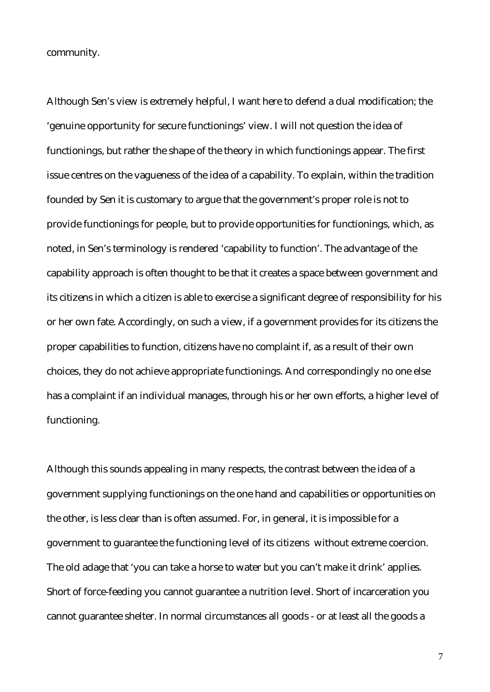community.

Although Sen's view is extremely helpful, I want here to defend a dual modification; the 'genuine opportunity for secure functionings' view. I will not question the idea of functionings, but rather the shape of the theory in which functionings appear. The first issue centres on the vagueness of the idea of a capability. To explain, within the tradition founded by Sen it is customary to argue that the government's proper role is not to provide functionings for people, but to provide opportunities for functionings, which, as noted, in Sen's terminology is rendered 'capability to function'. The advantage of the capability approach is often thought to be that it creates a space between government and its citizens in which a citizen is able to exercise a significant degree of responsibility for his or her own fate. Accordingly, on such a view, if a government provides for its citizens the proper capabilities to function, citizens have no complaint if, as a result of their own choices, they do not achieve appropriate functionings. And correspondingly no one else has a complaint if an individual manages, through his or her own efforts, a higher level of functioning.

Although this sounds appealing in many respects, the contrast between the idea of a government supplying functionings on the one hand and capabilities or opportunities on the other, is less clear than is often assumed. For, in general, it is impossible for a government to guarantee the functioning level of its citizens without extreme coercion. The old adage that 'you can take a horse to water but you can't make it drink' applies. Short of force-feeding you cannot guarantee a nutrition level. Short of incarceration you cannot guarantee shelter. In normal circumstances all goods - or at least all the goods a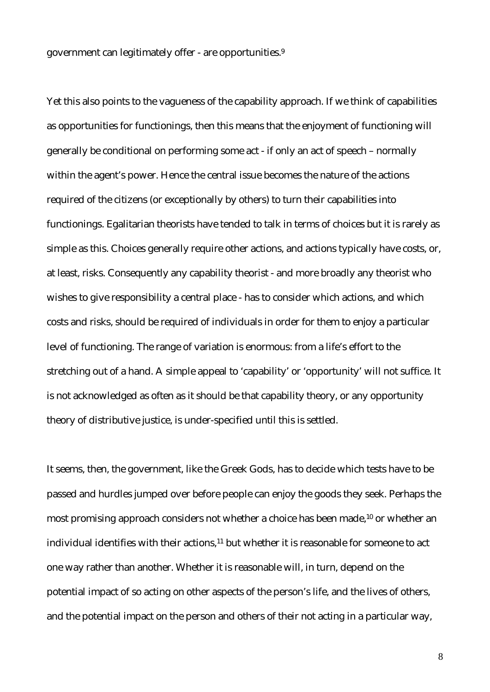government can legitimately offer - are opportunities.9

Yet this also points to the vagueness of the capability approach. If we think of capabilities as opportunities for functionings, then this means that the enjoyment of functioning will generally be conditional on performing some act - if only an act of speech – normally within the agent's power. Hence the central issue becomes the nature of the actions required of the citizens (or exceptionally by others) to turn their capabilities into functionings. Egalitarian theorists have tended to talk in terms of choices but it is rarely as simple as this. Choices generally require other actions, and actions typically have costs, or, at least, risks. Consequently any capability theorist - and more broadly any theorist who wishes to give responsibility a central place - has to consider which actions, and which costs and risks, should be required of individuals in order for them to enjoy a particular level of functioning. The range of variation is enormous: from a life's effort to the stretching out of a hand. A simple appeal to 'capability' or 'opportunity' will not suffice. It is not acknowledged as often as it should be that capability theory, or any opportunity theory of distributive justice, is under-specified until this is settled.

It seems, then, the government, like the Greek Gods, has to decide which tests have to be passed and hurdles jumped over before people can enjoy the goods they seek. Perhaps the most promising approach considers not whether a choice has been made,10 or whether an individual identifies with their actions,<sup>11</sup> but whether it is reasonable for someone to act one way rather than another. Whether it is reasonable will, in turn, depend on the potential impact of so acting on other aspects of the person's life, and the lives of others, and the potential impact on the person and others of their not acting in a particular way,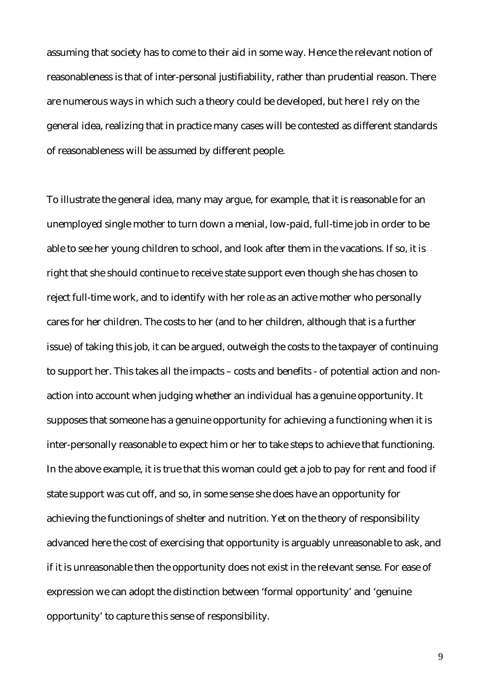assuming that society has to come to their aid in some way. Hence the relevant notion of reasonableness is that of inter-personal justifiability, rather than prudential reason. There are numerous ways in which such a theory could be developed, but here I rely on the general idea, realizing that in practice many cases will be contested as different standards of reasonableness will be assumed by different people.

To illustrate the general idea, many may argue, for example, that it is reasonable for an unemployed single mother to turn down a menial, low-paid, full-time job in order to be able to see her young children to school, and look after them in the vacations. If so, it is right that she should continue to receive state support even though she has chosen to reject full-time work, and to identify with her role as an active mother who personally cares for her children. The costs to her (and to her children, although that is a further issue) of taking this job, it can be argued, outweigh the costs to the taxpayer of continuing to support her. This takes all the impacts – costs and benefits - of potential action and nonaction into account when judging whether an individual has a genuine opportunity. It supposes that someone has a genuine opportunity for achieving a functioning when it is inter-personally reasonable to expect him or her to take steps to achieve that functioning. In the above example, it is true that this woman could get a job to pay for rent and food if state support was cut off, and so, in some sense she does have an opportunity for achieving the functionings of shelter and nutrition. Yet on the theory of responsibility advanced here the cost of exercising that opportunity is arguably unreasonable to ask, and if it is unreasonable then the opportunity does not exist in the relevant sense. For ease of expression we can adopt the distinction between 'formal opportunity' and 'genuine opportunity' to capture this sense of responsibility.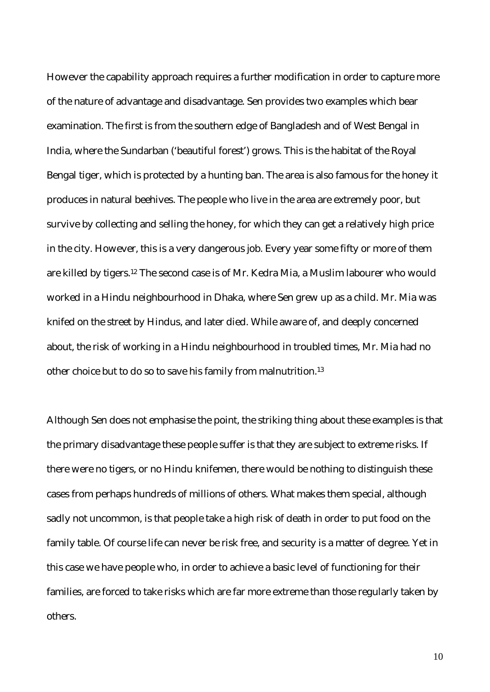However the capability approach requires a further modification in order to capture more of the nature of advantage and disadvantage. Sen provides two examples which bear examination. The first is from the southern edge of Bangladesh and of West Bengal in India, where the Sundarban ('beautiful forest') grows. This is the habitat of the Royal Bengal tiger, which is protected by a hunting ban. The area is also famous for the honey it produces in natural beehives. The people who live in the area are extremely poor, but survive by collecting and selling the honey, for which they can get a relatively high price in the city. However, this is a very dangerous job. Every year some fifty or more of them are killed by tigers.12 The second case is of Mr. Kedra Mia, a Muslim labourer who would worked in a Hindu neighbourhood in Dhaka, where Sen grew up as a child. Mr. Mia was knifed on the street by Hindus, and later died. While aware of, and deeply concerned about, the risk of working in a Hindu neighbourhood in troubled times, Mr. Mia had no other choice but to do so to save his family from malnutrition.13

Although Sen does not emphasise the point, the striking thing about these examples is that the primary disadvantage these people suffer is that they are subject to extreme risks. If there were no tigers, or no Hindu knifemen, there would be nothing to distinguish these cases from perhaps hundreds of millions of others. What makes them special, although sadly not uncommon, is that people take a high risk of death in order to put food on the family table. Of course life can never be risk free, and security is a matter of degree. Yet in this case we have people who, in order to achieve a basic level of functioning for their families, are forced to take risks which are far more extreme than those regularly taken by others.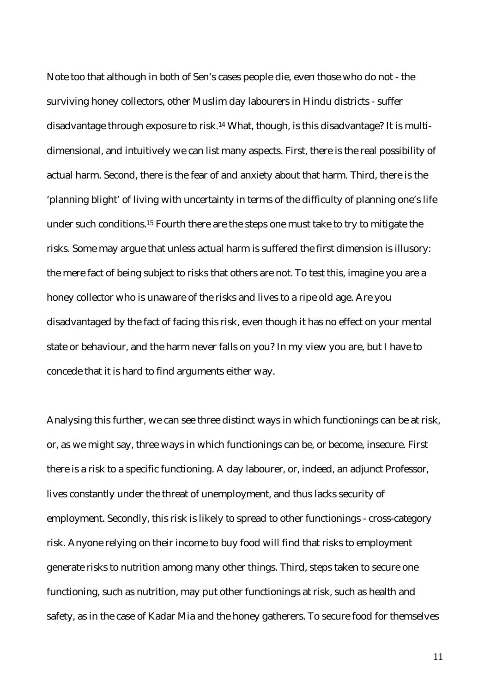Note too that although in both of Sen's cases people die, even those who do not - the surviving honey collectors, other Muslim day labourers in Hindu districts - suffer disadvantage through exposure to risk.14 What, though, is this disadvantage? It is multidimensional, and intuitively we can list many aspects. First, there is the real possibility of actual harm. Second, there is the fear of and anxiety about that harm. Third, there is the 'planning blight' of living with uncertainty in terms of the difficulty of planning one's life under such conditions.15 Fourth there are the steps one must take to try to mitigate the risks. Some may argue that unless actual harm is suffered the first dimension is illusory: the mere fact of being subject to risks that others are not. To test this, imagine you are a honey collector who is unaware of the risks and lives to a ripe old age. Are you disadvantaged by the fact of facing this risk, even though it has no effect on your mental state or behaviour, and the harm never falls on you? In my view you are, but I have to concede that it is hard to find arguments either way.

Analysing this further, we can see three distinct ways in which functionings can be at risk, or, as we might say, three ways in which functionings can be, or become, insecure. First there is a risk to a specific functioning. A day labourer, or, indeed, an adjunct Professor, lives constantly under the threat of unemployment, and thus lacks security of employment. Secondly, this risk is likely to spread to other functionings - cross-category risk. Anyone relying on their income to buy food will find that risks to employment generate risks to nutrition among many other things. Third, steps taken to secure one functioning, such as nutrition, may put other functionings at risk, such as health and safety, as in the case of Kadar Mia and the honey gatherers. To secure food for themselves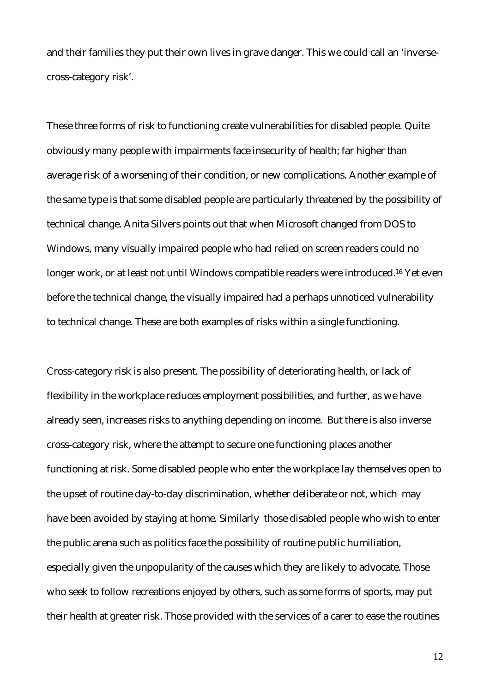and their families they put their own lives in grave danger. This we could call an 'inversecross-category risk'.

These three forms of risk to functioning create vulnerabilities for disabled people. Quite obviously many people with impairments face insecurity of health; far higher than average risk of a worsening of their condition, or new complications. Another example of the same type is that some disabled people are particularly threatened by the possibility of technical change. Anita Silvers points out that when Microsoft changed from DOS to Windows, many visually impaired people who had relied on screen readers could no longer work, or at least not until Windows compatible readers were introduced.<sup>16</sup> Yet even before the technical change, the visually impaired had a perhaps unnoticed vulnerability to technical change. These are both examples of risks within a single functioning.

Cross-category risk is also present. The possibility of deteriorating health, or lack of flexibility in the workplace reduces employment possibilities, and further, as we have already seen, increases risks to anything depending on income. But there is also inverse cross-category risk, where the attempt to secure one functioning places another functioning at risk. Some disabled people who enter the workplace lay themselves open to the upset of routine day-to-day discrimination, whether deliberate or not, which may have been avoided by staying at home. Similarly those disabled people who wish to enter the public arena such as politics face the possibility of routine public humiliation, especially given the unpopularity of the causes which they are likely to advocate. Those who seek to follow recreations enjoyed by others, such as some forms of sports, may put their health at greater risk. Those provided with the services of a carer to ease the routines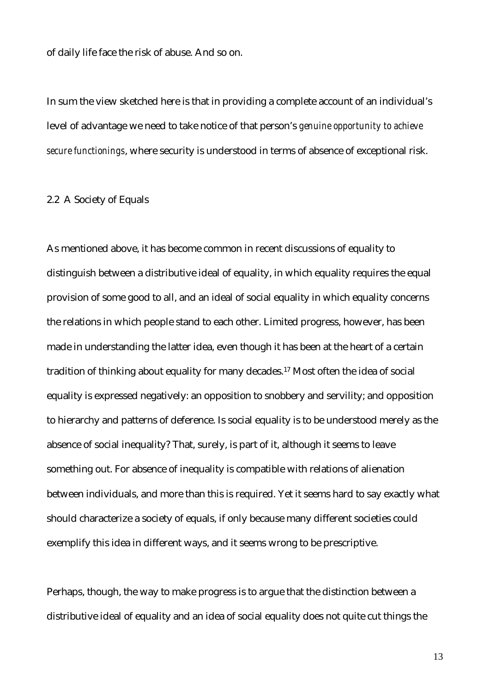of daily life face the risk of abuse. And so on.

In sum the view sketched here is that in providing a complete account of an individual's level of advantage we need to take notice of that person's *genuine opportunity to achieve secure functionings*, where security is understood in terms of absence of exceptional risk.

### 2.2 A Society of Equals

As mentioned above, it has become common in recent discussions of equality to distinguish between a distributive ideal of equality, in which equality requires the equal provision of some good to all, and an ideal of social equality in which equality concerns the relations in which people stand to each other. Limited progress, however, has been made in understanding the latter idea, even though it has been at the heart of a certain tradition of thinking about equality for many decades.17 Most often the idea of social equality is expressed negatively: an opposition to snobbery and servility; and opposition to hierarchy and patterns of deference. Is social equality is to be understood merely as the absence of social inequality? That, surely, is part of it, although it seems to leave something out. For absence of inequality is compatible with relations of alienation between individuals, and more than this is required. Yet it seems hard to say exactly what should characterize a society of equals, if only because many different societies could exemplify this idea in different ways, and it seems wrong to be prescriptive.

Perhaps, though, the way to make progress is to argue that the distinction between a distributive ideal of equality and an idea of social equality does not quite cut things the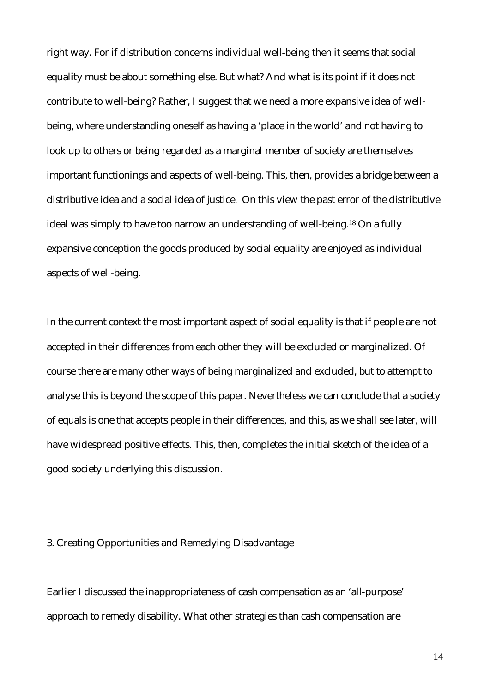right way. For if distribution concerns individual well-being then it seems that social equality must be about something else. But what? And what is its point if it does not contribute to well-being? Rather, I suggest that we need a more expansive idea of wellbeing, where understanding oneself as having a 'place in the world' and not having to look up to others or being regarded as a marginal member of society are themselves important functionings and aspects of well-being. This, then, provides a bridge between a distributive idea and a social idea of justice. On this view the past error of the distributive ideal was simply to have too narrow an understanding of well-being.18 On a fully expansive conception the goods produced by social equality are enjoyed as individual aspects of well-being.

In the current context the most important aspect of social equality is that if people are not accepted in their differences from each other they will be excluded or marginalized. Of course there are many other ways of being marginalized and excluded, but to attempt to analyse this is beyond the scope of this paper. Nevertheless we can conclude that a society of equals is one that accepts people in their differences, and this, as we shall see later, will have widespread positive effects. This, then, completes the initial sketch of the idea of a good society underlying this discussion.

### 3. Creating Opportunities and Remedying Disadvantage

Earlier I discussed the inappropriateness of cash compensation as an 'all-purpose' approach to remedy disability. What other strategies than cash compensation are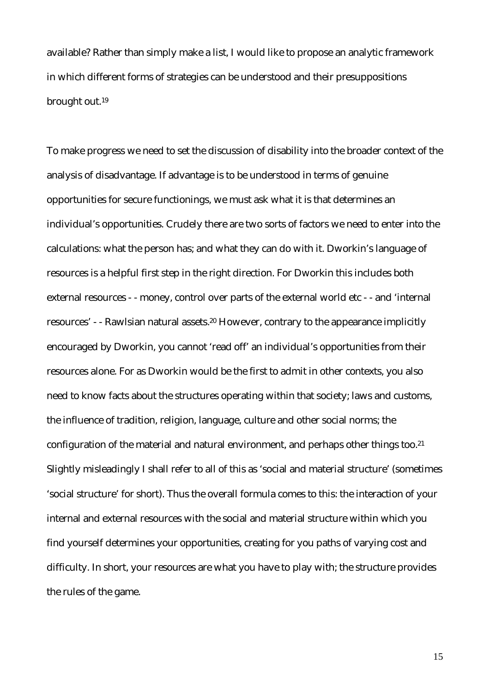available? Rather than simply make a list, I would like to propose an analytic framework in which different forms of strategies can be understood and their presuppositions brought out.19

To make progress we need to set the discussion of disability into the broader context of the analysis of disadvantage. If advantage is to be understood in terms of genuine opportunities for secure functionings, we must ask what it is that determines an individual's opportunities. Crudely there are two sorts of factors we need to enter into the calculations: what the person has; and what they can do with it. Dworkin's language of resources is a helpful first step in the right direction. For Dworkin this includes both external resources - - money, control over parts of the external world etc - - and 'internal resources' - - Rawlsian natural assets.20 However, contrary to the appearance implicitly encouraged by Dworkin, you cannot 'read off' an individual's opportunities from their resources alone. For as Dworkin would be the first to admit in other contexts, you also need to know facts about the structures operating within that society; laws and customs, the influence of tradition, religion, language, culture and other social norms; the configuration of the material and natural environment, and perhaps other things too.21 Slightly misleadingly I shall refer to all of this as 'social and material structure' (sometimes 'social structure' for short). Thus the overall formula comes to this: the interaction of your internal and external resources with the social and material structure within which you find yourself determines your opportunities, creating for you paths of varying cost and difficulty. In short, your resources are what you have to play with; the structure provides the rules of the game.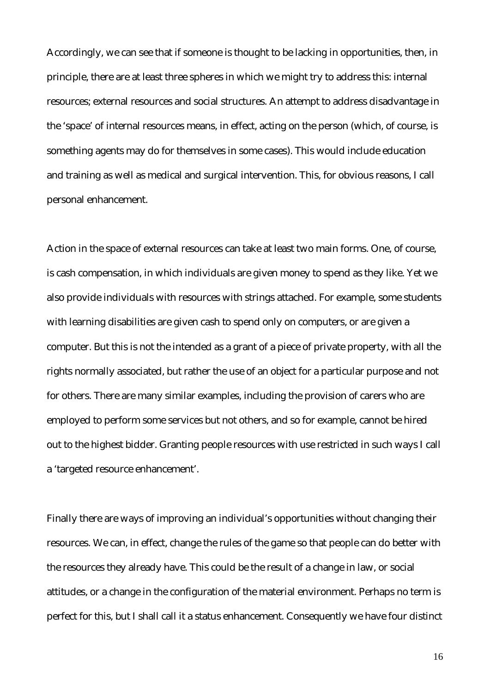Accordingly, we can see that if someone is thought to be lacking in opportunities, then, in principle, there are at least three spheres in which we might try to address this: internal resources; external resources and social structures. An attempt to address disadvantage in the 'space' of internal resources means, in effect, acting on the person (which, of course, is something agents may do for themselves in some cases). This would include education and training as well as medical and surgical intervention. This, for obvious reasons, I call personal enhancement.

Action in the space of external resources can take at least two main forms. One, of course, is cash compensation, in which individuals are given money to spend as they like. Yet we also provide individuals with resources with strings attached. For example, some students with learning disabilities are given cash to spend only on computers, or are given a computer. But this is not the intended as a grant of a piece of private property, with all the rights normally associated, but rather the use of an object for a particular purpose and not for others. There are many similar examples, including the provision of carers who are employed to perform some services but not others, and so for example, cannot be hired out to the highest bidder. Granting people resources with use restricted in such ways I call a 'targeted resource enhancement'.

Finally there are ways of improving an individual's opportunities without changing their resources. We can, in effect, change the rules of the game so that people can do better with the resources they already have. This could be the result of a change in law, or social attitudes, or a change in the configuration of the material environment. Perhaps no term is perfect for this, but I shall call it a status enhancement. Consequently we have four distinct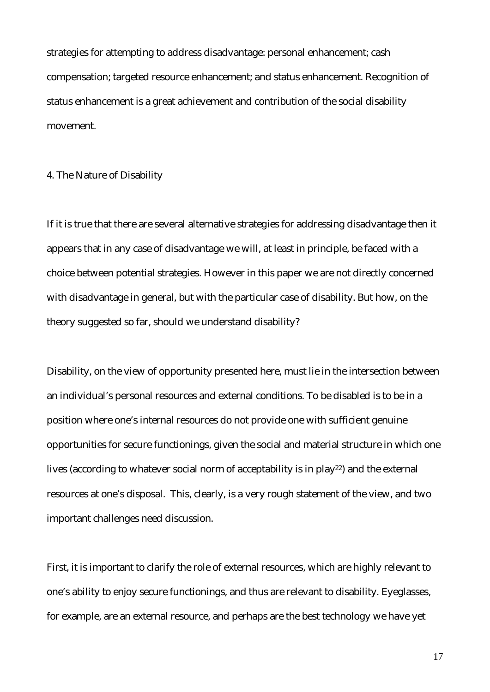strategies for attempting to address disadvantage: personal enhancement; cash compensation; targeted resource enhancement; and status enhancement. Recognition of status enhancement is a great achievement and contribution of the social disability movement.

#### 4. The Nature of Disability

If it is true that there are several alternative strategies for addressing disadvantage then it appears that in any case of disadvantage we will, at least in principle, be faced with a choice between potential strategies. However in this paper we are not directly concerned with disadvantage in general, but with the particular case of disability. But how, on the theory suggested so far, should we understand disability?

Disability, on the view of opportunity presented here, must lie in the intersection between an individual's personal resources and external conditions. To be disabled is to be in a position where one's internal resources do not provide one with sufficient genuine opportunities for secure functionings, given the social and material structure in which one lives (according to whatever social norm of acceptability is in play<sup>22</sup>) and the external resources at one's disposal. This, clearly, is a very rough statement of the view, and two important challenges need discussion.

First, it is important to clarify the role of external resources, which are highly relevant to one's ability to enjoy secure functionings, and thus are relevant to disability. Eyeglasses, for example, are an external resource, and perhaps are the best technology we have yet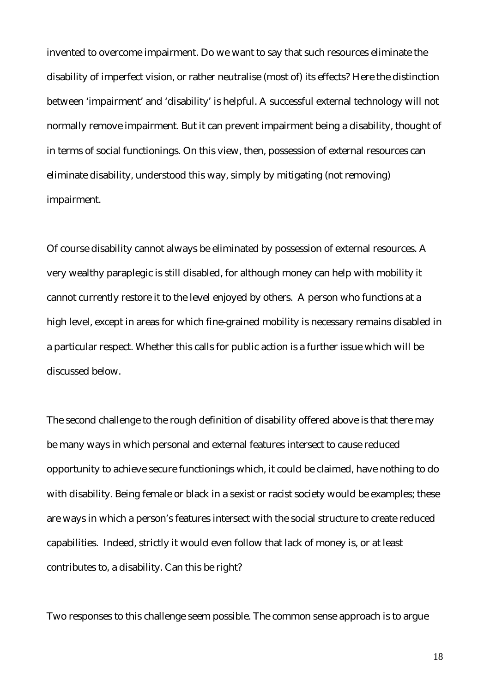invented to overcome impairment. Do we want to say that such resources eliminate the disability of imperfect vision, or rather neutralise (most of) its effects? Here the distinction between 'impairment' and 'disability' is helpful. A successful external technology will not normally remove impairment. But it can prevent impairment being a disability, thought of in terms of social functionings. On this view, then, possession of external resources can eliminate disability, understood this way, simply by mitigating (not removing) impairment.

Of course disability cannot always be eliminated by possession of external resources. A very wealthy paraplegic is still disabled, for although money can help with mobility it cannot currently restore it to the level enjoyed by others. A person who functions at a high level, except in areas for which fine-grained mobility is necessary remains disabled in a particular respect. Whether this calls for public action is a further issue which will be discussed below.

The second challenge to the rough definition of disability offered above is that there may be many ways in which personal and external features intersect to cause reduced opportunity to achieve secure functionings which, it could be claimed, have nothing to do with disability. Being female or black in a sexist or racist society would be examples; these are ways in which a person's features intersect with the social structure to create reduced capabilities. Indeed, strictly it would even follow that lack of money is, or at least contributes to, a disability. Can this be right?

Two responses to this challenge seem possible. The common sense approach is to argue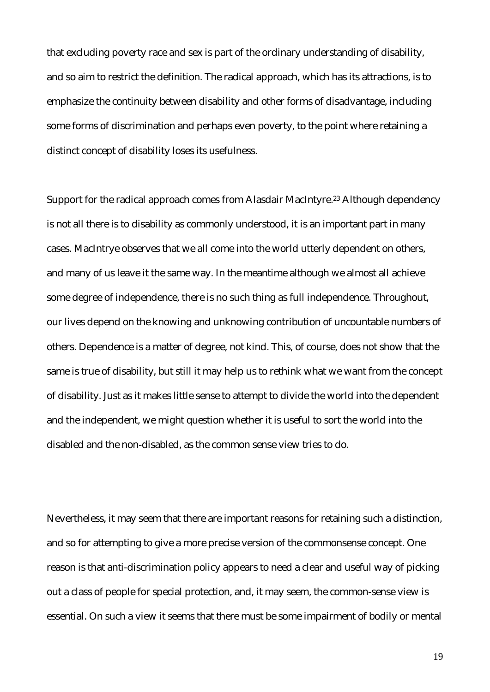that excluding poverty race and sex is part of the ordinary understanding of disability, and so aim to restrict the definition. The radical approach, which has its attractions, is to emphasize the continuity between disability and other forms of disadvantage, including some forms of discrimination and perhaps even poverty, to the point where retaining a distinct concept of disability loses its usefulness.

Support for the radical approach comes from Alasdair MacIntyre.<sup>23</sup> Although dependency is not all there is to disability as commonly understood, it is an important part in many cases. MacIntrye observes that we all come into the world utterly dependent on others, and many of us leave it the same way. In the meantime although we almost all achieve some degree of independence, there is no such thing as full independence. Throughout, our lives depend on the knowing and unknowing contribution of uncountable numbers of others. Dependence is a matter of degree, not kind. This, of course, does not show that the same is true of disability, but still it may help us to rethink what we want from the concept of disability. Just as it makes little sense to attempt to divide the world into the dependent and the independent, we might question whether it is useful to sort the world into the disabled and the non-disabled, as the common sense view tries to do.

Nevertheless, it may seem that there are important reasons for retaining such a distinction, and so for attempting to give a more precise version of the commonsense concept. One reason is that anti-discrimination policy appears to need a clear and useful way of picking out a class of people for special protection, and, it may seem, the common-sense view is essential. On such a view it seems that there must be some impairment of bodily or mental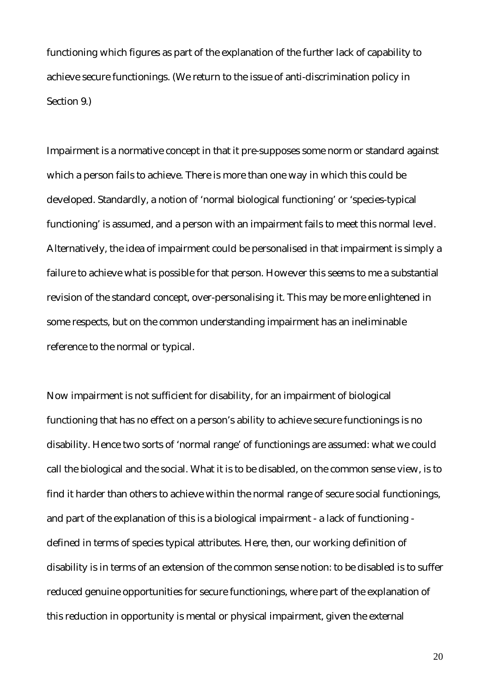functioning which figures as part of the explanation of the further lack of capability to achieve secure functionings. (We return to the issue of anti-discrimination policy in Section 9.)

Impairment is a normative concept in that it pre-supposes some norm or standard against which a person fails to achieve. There is more than one way in which this could be developed. Standardly, a notion of 'normal biological functioning' or 'species-typical functioning' is assumed, and a person with an impairment fails to meet this normal level. Alternatively, the idea of impairment could be personalised in that impairment is simply a failure to achieve what is possible for that person. However this seems to me a substantial revision of the standard concept, over-personalising it. This may be more enlightened in some respects, but on the common understanding impairment has an ineliminable reference to the normal or typical.

Now impairment is not sufficient for disability, for an impairment of biological functioning that has no effect on a person's ability to achieve secure functionings is no disability. Hence two sorts of 'normal range' of functionings are assumed: what we could call the biological and the social. What it is to be disabled, on the common sense view, is to find it harder than others to achieve within the normal range of secure social functionings, and part of the explanation of this is a biological impairment - a lack of functioning defined in terms of species typical attributes. Here, then, our working definition of disability is in terms of an extension of the common sense notion: to be disabled is to suffer reduced genuine opportunities for secure functionings, where part of the explanation of this reduction in opportunity is mental or physical impairment, given the external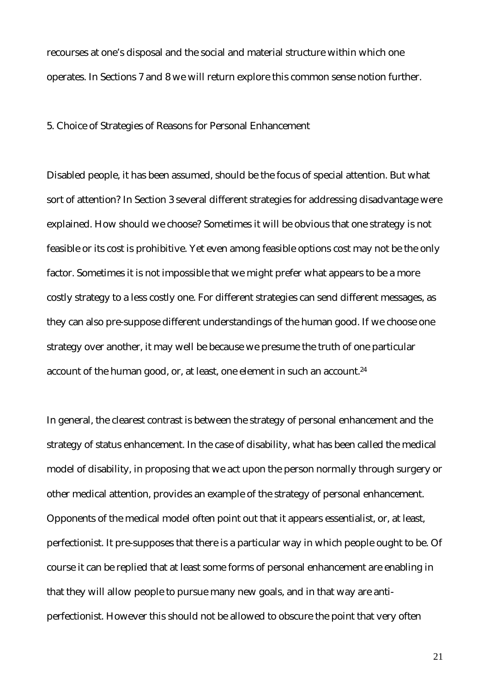recourses at one's disposal and the social and material structure within which one operates. In Sections 7 and 8 we will return explore this common sense notion further.

5. Choice of Strategies of Reasons for Personal Enhancement

Disabled people, it has been assumed, should be the focus of special attention. But what sort of attention? In Section 3 several different strategies for addressing disadvantage were explained. How should we choose? Sometimes it will be obvious that one strategy is not feasible or its cost is prohibitive. Yet even among feasible options cost may not be the only factor. Sometimes it is not impossible that we might prefer what appears to be a more costly strategy to a less costly one. For different strategies can send different messages, as they can also pre-suppose different understandings of the human good. If we choose one strategy over another, it may well be because we presume the truth of one particular account of the human good, or, at least, one element in such an account.<sup>24</sup>

In general, the clearest contrast is between the strategy of personal enhancement and the strategy of status enhancement. In the case of disability, what has been called the medical model of disability, in proposing that we act upon the person normally through surgery or other medical attention, provides an example of the strategy of personal enhancement. Opponents of the medical model often point out that it appears essentialist, or, at least, perfectionist. It pre-supposes that there is a particular way in which people ought to be. Of course it can be replied that at least some forms of personal enhancement are enabling in that they will allow people to pursue many new goals, and in that way are antiperfectionist. However this should not be allowed to obscure the point that very often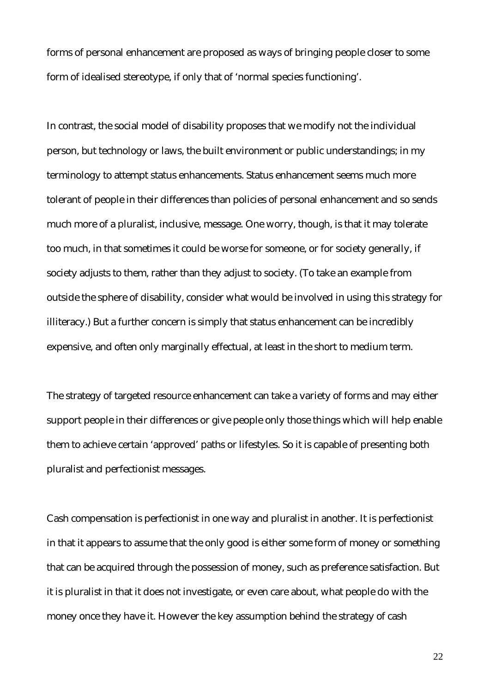forms of personal enhancement are proposed as ways of bringing people closer to some form of idealised stereotype, if only that of 'normal species functioning'.

In contrast, the social model of disability proposes that we modify not the individual person, but technology or laws, the built environment or public understandings; in my terminology to attempt status enhancements. Status enhancement seems much more tolerant of people in their differences than policies of personal enhancement and so sends much more of a pluralist, inclusive, message. One worry, though, is that it may tolerate too much, in that sometimes it could be worse for someone, or for society generally, if society adjusts to them, rather than they adjust to society. (To take an example from outside the sphere of disability, consider what would be involved in using this strategy for illiteracy.) But a further concern is simply that status enhancement can be incredibly expensive, and often only marginally effectual, at least in the short to medium term.

The strategy of targeted resource enhancement can take a variety of forms and may either support people in their differences or give people only those things which will help enable them to achieve certain 'approved' paths or lifestyles. So it is capable of presenting both pluralist and perfectionist messages.

Cash compensation is perfectionist in one way and pluralist in another. It is perfectionist in that it appears to assume that the only good is either some form of money or something that can be acquired through the possession of money, such as preference satisfaction. But it is pluralist in that it does not investigate, or even care about, what people do with the money once they have it. However the key assumption behind the strategy of cash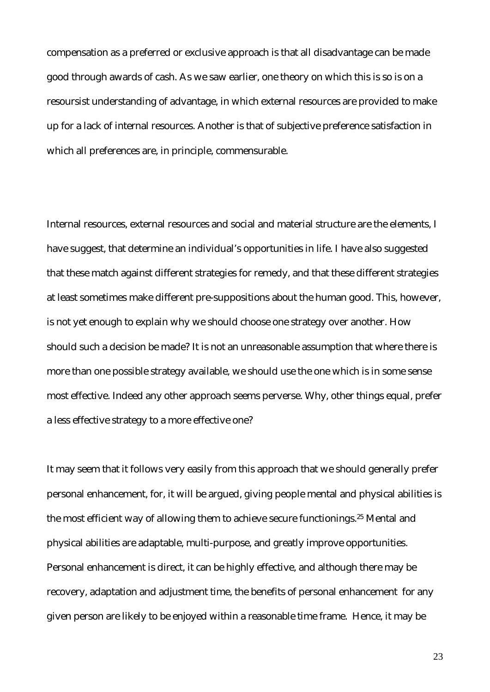compensation as a preferred or exclusive approach is that all disadvantage can be made good through awards of cash. As we saw earlier, one theory on which this is so is on a resoursist understanding of advantage, in which external resources are provided to make up for a lack of internal resources. Another is that of subjective preference satisfaction in which all preferences are, in principle, commensurable.

Internal resources, external resources and social and material structure are the elements, I have suggest, that determine an individual's opportunities in life. I have also suggested that these match against different strategies for remedy, and that these different strategies at least sometimes make different pre-suppositions about the human good. This, however, is not yet enough to explain why we should choose one strategy over another. How should such a decision be made? It is not an unreasonable assumption that where there is more than one possible strategy available, we should use the one which is in some sense most effective. Indeed any other approach seems perverse. Why, other things equal, prefer a less effective strategy to a more effective one?

It may seem that it follows very easily from this approach that we should generally prefer personal enhancement, for, it will be argued, giving people mental and physical abilities is the most efficient way of allowing them to achieve secure functionings.25 Mental and physical abilities are adaptable, multi-purpose, and greatly improve opportunities. Personal enhancement is direct, it can be highly effective, and although there may be recovery, adaptation and adjustment time, the benefits of personal enhancement for any given person are likely to be enjoyed within a reasonable time frame. Hence, it may be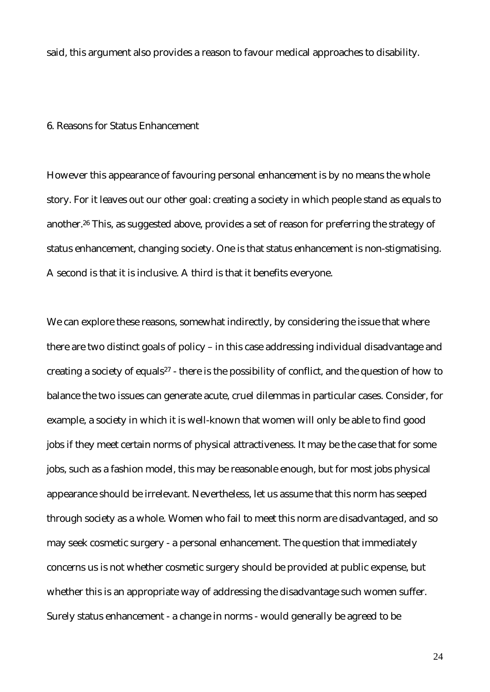said, this argument also provides a reason to favour medical approaches to disability.

### 6. Reasons for Status Enhancement

However this appearance of favouring personal enhancement is by no means the whole story. For it leaves out our other goal: creating a society in which people stand as equals to another.26 This, as suggested above, provides a set of reason for preferring the strategy of status enhancement, changing society. One is that status enhancement is non-stigmatising. A second is that it is inclusive. A third is that it benefits everyone.

We can explore these reasons, somewhat indirectly, by considering the issue that where there are two distinct goals of policy – in this case addressing individual disadvantage and creating a society of equals27 - there is the possibility of conflict, and the question of how to balance the two issues can generate acute, cruel dilemmas in particular cases. Consider, for example, a society in which it is well-known that women will only be able to find good jobs if they meet certain norms of physical attractiveness. It may be the case that for some jobs, such as a fashion model, this may be reasonable enough, but for most jobs physical appearance should be irrelevant. Nevertheless, let us assume that this norm has seeped through society as a whole. Women who fail to meet this norm are disadvantaged, and so may seek cosmetic surgery - a personal enhancement. The question that immediately concerns us is not whether cosmetic surgery should be provided at public expense, but whether this is an appropriate way of addressing the disadvantage such women suffer. Surely status enhancement - a change in norms - would generally be agreed to be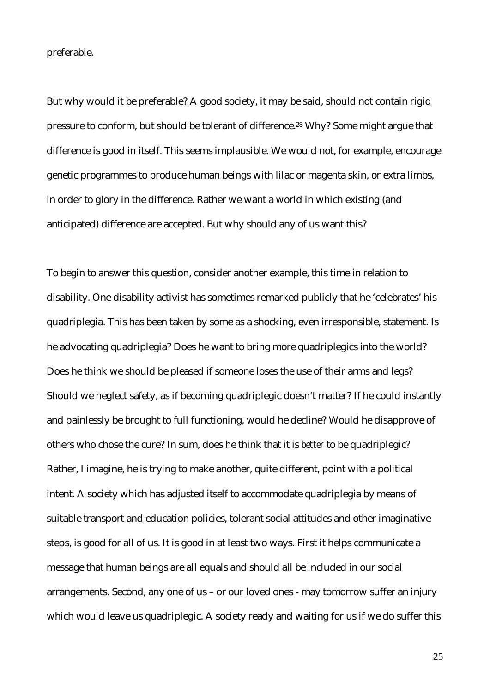preferable.

But why would it be preferable? A good society, it may be said, should not contain rigid pressure to conform, but should be tolerant of difference.28 Why? Some might argue that difference is good in itself. This seems implausible. We would not, for example, encourage genetic programmes to produce human beings with lilac or magenta skin, or extra limbs, in order to glory in the difference. Rather we want a world in which existing (and anticipated) difference are accepted. But why should any of us want this?

To begin to answer this question, consider another example, this time in relation to disability. One disability activist has sometimes remarked publicly that he 'celebrates' his quadriplegia. This has been taken by some as a shocking, even irresponsible, statement. Is he advocating quadriplegia? Does he want to bring more quadriplegics into the world? Does he think we should be pleased if someone loses the use of their arms and legs? Should we neglect safety, as if becoming quadriplegic doesn't matter? If he could instantly and painlessly be brought to full functioning, would he decline? Would he disapprove of others who chose the cure? In sum, does he think that it is *better* to be quadriplegic? Rather, I imagine, he is trying to make another, quite different, point with a political intent. A society which has adjusted itself to accommodate quadriplegia by means of suitable transport and education policies, tolerant social attitudes and other imaginative steps, is good for all of us. It is good in at least two ways. First it helps communicate a message that human beings are all equals and should all be included in our social arrangements. Second, any one of us – or our loved ones - may tomorrow suffer an injury which would leave us quadriplegic. A society ready and waiting for us if we do suffer this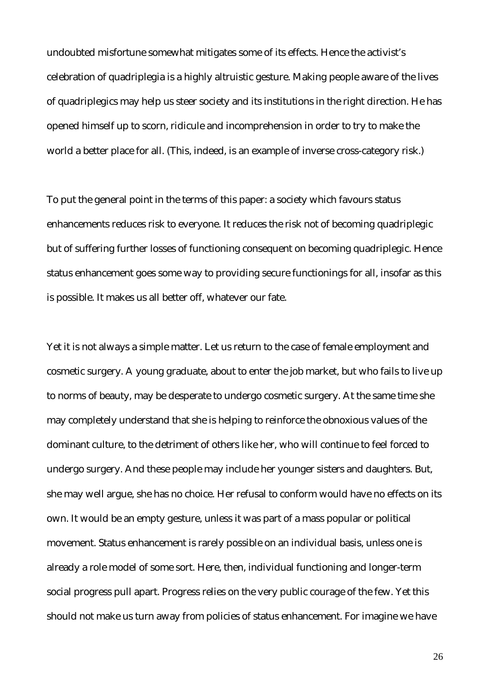undoubted misfortune somewhat mitigates some of its effects. Hence the activist's celebration of quadriplegia is a highly altruistic gesture. Making people aware of the lives of quadriplegics may help us steer society and its institutions in the right direction. He has opened himself up to scorn, ridicule and incomprehension in order to try to make the world a better place for all. (This, indeed, is an example of inverse cross-category risk.)

To put the general point in the terms of this paper: a society which favours status enhancements reduces risk to everyone. It reduces the risk not of becoming quadriplegic but of suffering further losses of functioning consequent on becoming quadriplegic. Hence status enhancement goes some way to providing secure functionings for all, insofar as this is possible. It makes us all better off, whatever our fate.

Yet it is not always a simple matter. Let us return to the case of female employment and cosmetic surgery. A young graduate, about to enter the job market, but who fails to live up to norms of beauty, may be desperate to undergo cosmetic surgery. At the same time she may completely understand that she is helping to reinforce the obnoxious values of the dominant culture, to the detriment of others like her, who will continue to feel forced to undergo surgery. And these people may include her younger sisters and daughters. But, she may well argue, she has no choice. Her refusal to conform would have no effects on its own. It would be an empty gesture, unless it was part of a mass popular or political movement. Status enhancement is rarely possible on an individual basis, unless one is already a role model of some sort. Here, then, individual functioning and longer-term social progress pull apart. Progress relies on the very public courage of the few. Yet this should not make us turn away from policies of status enhancement. For imagine we have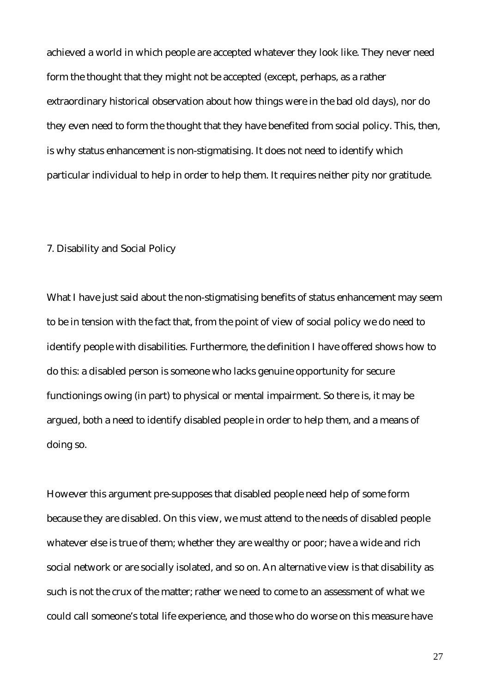achieved a world in which people are accepted whatever they look like. They never need form the thought that they might not be accepted (except, perhaps, as a rather extraordinary historical observation about how things were in the bad old days), nor do they even need to form the thought that they have benefited from social policy. This, then, is why status enhancement is non-stigmatising. It does not need to identify which particular individual to help in order to help them. It requires neither pity nor gratitude.

## 7. Disability and Social Policy

What I have just said about the non-stigmatising benefits of status enhancement may seem to be in tension with the fact that, from the point of view of social policy we do need to identify people with disabilities. Furthermore, the definition I have offered shows how to do this: a disabled person is someone who lacks genuine opportunity for secure functionings owing (in part) to physical or mental impairment. So there is, it may be argued, both a need to identify disabled people in order to help them, and a means of doing so.

However this argument pre-supposes that disabled people need help of some form because they are disabled. On this view, we must attend to the needs of disabled people whatever else is true of them; whether they are wealthy or poor; have a wide and rich social network or are socially isolated, and so on. An alternative view is that disability as such is not the crux of the matter; rather we need to come to an assessment of what we could call someone's total life experience, and those who do worse on this measure have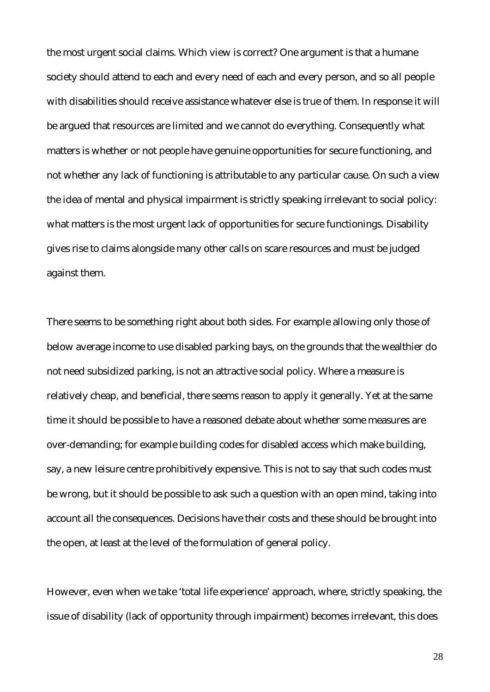the most urgent social claims. Which view is correct? One argument is that a humane society should attend to each and every need of each and every person, and so all people with disabilities should receive assistance whatever else is true of them. In response it will be argued that resources are limited and we cannot do everything. Consequently what matters is whether or not people have genuine opportunities for secure functioning, and not whether any lack of functioning is attributable to any particular cause. On such a view the idea of mental and physical impairment is strictly speaking irrelevant to social policy: what matters is the most urgent lack of opportunities for secure functionings. Disability gives rise to claims alongside many other calls on scare resources and must be judged against them.

There seems to be something right about both sides. For example allowing only those of below average income to use disabled parking bays, on the grounds that the wealthier do not need subsidized parking, is not an attractive social policy. Where a measure is relatively cheap, and beneficial, there seems reason to apply it generally. Yet at the same time it should be possible to have a reasoned debate about whether some measures are over-demanding; for example building codes for disabled access which make building, say, a new leisure centre prohibitively expensive. This is not to say that such codes must be wrong, but it should be possible to ask such a question with an open mind, taking into account all the consequences. Decisions have their costs and these should be brought into the open, at least at the level of the formulation of general policy.

However, even when we take 'total life experience' approach, where, strictly speaking, the issue of disability (lack of opportunity through impairment) becomes irrelevant, this does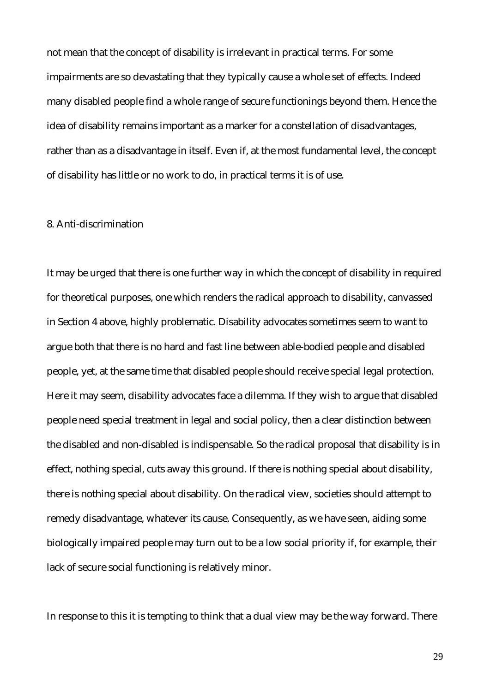not mean that the concept of disability is irrelevant in practical terms. For some impairments are so devastating that they typically cause a whole set of effects. Indeed many disabled people find a whole range of secure functionings beyond them. Hence the idea of disability remains important as a marker for a constellation of disadvantages, rather than as a disadvantage in itself. Even if, at the most fundamental level, the concept of disability has little or no work to do, in practical terms it is of use.

#### 8. Anti-discrimination

It may be urged that there is one further way in which the concept of disability in required for theoretical purposes, one which renders the radical approach to disability, canvassed in Section 4 above, highly problematic. Disability advocates sometimes seem to want to argue both that there is no hard and fast line between able-bodied people and disabled people, yet, at the same time that disabled people should receive special legal protection. Here it may seem, disability advocates face a dilemma. If they wish to argue that disabled people need special treatment in legal and social policy, then a clear distinction between the disabled and non-disabled is indispensable. So the radical proposal that disability is in effect, nothing special, cuts away this ground. If there is nothing special about disability, there is nothing special about disability. On the radical view, societies should attempt to remedy disadvantage, whatever its cause. Consequently, as we have seen, aiding some biologically impaired people may turn out to be a low social priority if, for example, their lack of secure social functioning is relatively minor.

In response to this it is tempting to think that a dual view may be the way forward. There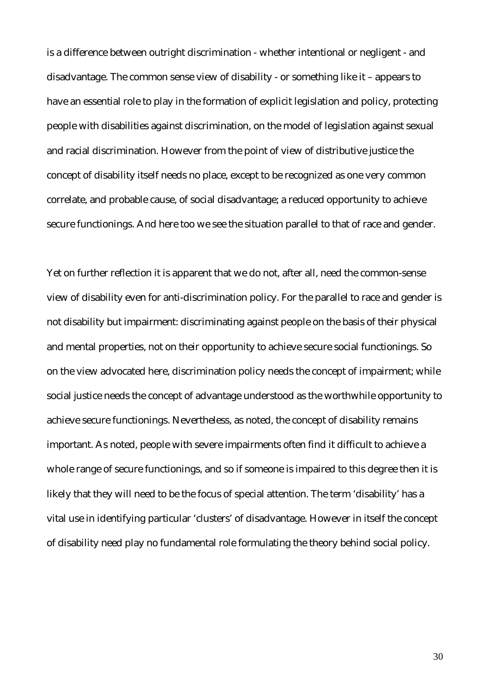is a difference between outright discrimination - whether intentional or negligent - and disadvantage. The common sense view of disability - or something like it – appears to have an essential role to play in the formation of explicit legislation and policy, protecting people with disabilities against discrimination, on the model of legislation against sexual and racial discrimination. However from the point of view of distributive justice the concept of disability itself needs no place, except to be recognized as one very common correlate, and probable cause, of social disadvantage; a reduced opportunity to achieve secure functionings. And here too we see the situation parallel to that of race and gender.

Yet on further reflection it is apparent that we do not, after all, need the common-sense view of disability even for anti-discrimination policy. For the parallel to race and gender is not disability but impairment: discriminating against people on the basis of their physical and mental properties, not on their opportunity to achieve secure social functionings. So on the view advocated here, discrimination policy needs the concept of impairment; while social justice needs the concept of advantage understood as the worthwhile opportunity to achieve secure functionings. Nevertheless, as noted, the concept of disability remains important. As noted, people with severe impairments often find it difficult to achieve a whole range of secure functionings, and so if someone is impaired to this degree then it is likely that they will need to be the focus of special attention. The term 'disability' has a vital use in identifying particular 'clusters' of disadvantage. However in itself the concept of disability need play no fundamental role formulating the theory behind social policy.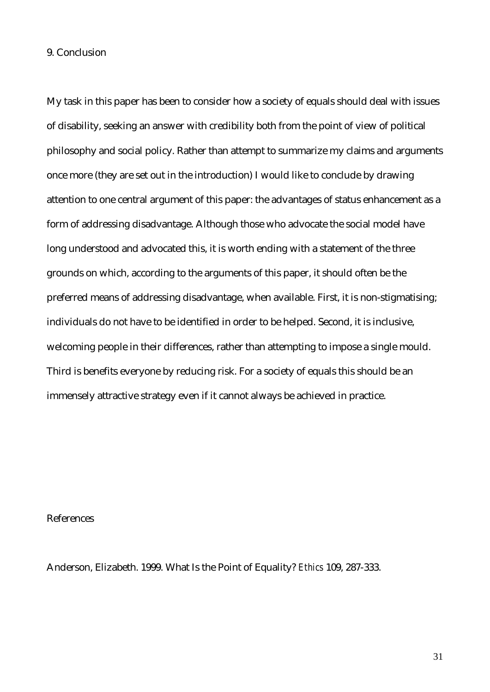### 9. Conclusion

My task in this paper has been to consider how a society of equals should deal with issues of disability, seeking an answer with credibility both from the point of view of political philosophy and social policy. Rather than attempt to summarize my claims and arguments once more (they are set out in the introduction) I would like to conclude by drawing attention to one central argument of this paper: the advantages of status enhancement as a form of addressing disadvantage. Although those who advocate the social model have long understood and advocated this, it is worth ending with a statement of the three grounds on which, according to the arguments of this paper, it should often be the preferred means of addressing disadvantage, when available. First, it is non-stigmatising; individuals do not have to be identified in order to be helped. Second, it is inclusive, welcoming people in their differences, rather than attempting to impose a single mould. Third is benefits everyone by reducing risk. For a society of equals this should be an immensely attractive strategy even if it cannot always be achieved in practice.

# References

Anderson, Elizabeth. 1999. What Is the Point of Equality? *Ethics* 109, 287-333.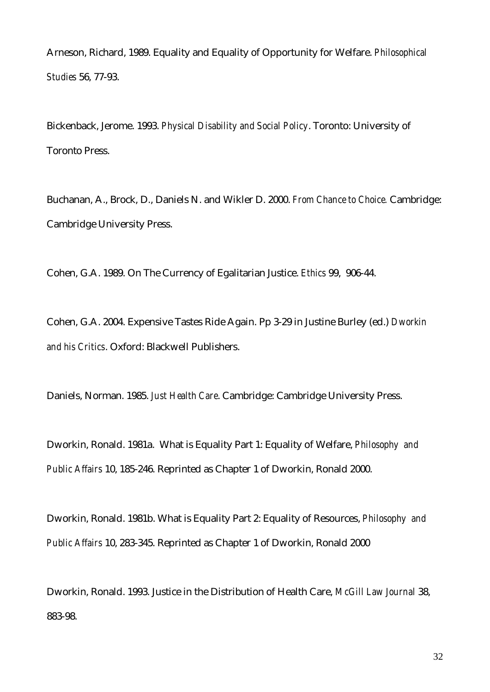Arneson, Richard, 1989. Equality and Equality of Opportunity for Welfare. *Philosophical Studies* 56, 77-93.

Bickenback, Jerome. 1993. *Physical Disability and Social Policy*. Toronto: University of Toronto Press.

Buchanan, A., Brock, D., Daniels N. and Wikler D. 2000. *From Chance to Choice.* Cambridge: Cambridge University Press.

Cohen, G.A. 1989. On The Currency of Egalitarian Justice. *Ethics* 99, 906-44.

Cohen, G.A. 2004. Expensive Tastes Ride Again. Pp 3-29 in Justine Burley (ed.) *Dworkin and his Critics*. Oxford: Blackwell Publishers.

Daniels, Norman. 1985. *Just Health Care*. Cambridge: Cambridge University Press.

Dworkin, Ronald. 1981a. What is Equality Part 1: Equality of Welfare, *Philosophy and Public Affairs* 10, 185-246. Reprinted as Chapter 1 of Dworkin, Ronald 2000.

Dworkin, Ronald. 1981b. What is Equality Part 2: Equality of Resources, *Philosophy and Public Affairs* 10, 283-345. Reprinted as Chapter 1 of Dworkin, Ronald 2000

Dworkin, Ronald. 1993. Justice in the Distribution of Health Care, *McGill Law Journal* 38, 883-98.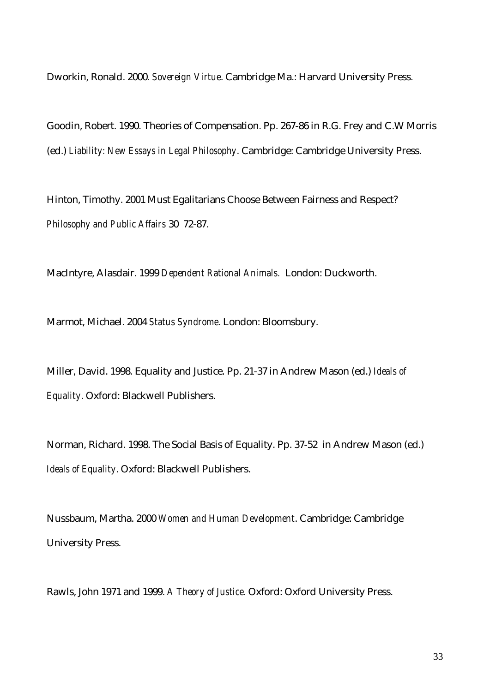Dworkin, Ronald. 2000. *Sovereign Virtue*. Cambridge Ma.: Harvard University Press.

Goodin, Robert. 1990. Theories of Compensation. Pp. 267-86 in R.G. Frey and C.W Morris (ed.) *Liability: New Essays in Legal Philosophy*. Cambridge: Cambridge University Press.

Hinton, Timothy. 2001 Must Egalitarians Choose Between Fairness and Respect? *Philosophy and Public Affairs* 30 72-87.

MacIntyre, Alasdair. 1999 *Dependent Rational Animals.* London: Duckworth.

Marmot, Michael. 2004 *Status Syndrome*. London: Bloomsbury.

Miller, David. 1998. Equality and Justice. Pp. 21-37 in Andrew Mason (ed.) *Ideals of Equality*. Oxford: Blackwell Publishers.

Norman, Richard. 1998. The Social Basis of Equality. Pp. 37-52 in Andrew Mason (ed.) *Ideals of Equality*. Oxford: Blackwell Publishers.

Nussbaum, Martha. 2000 *Women and Human Development*. Cambridge: Cambridge University Press.

Rawls, John 1971 and 1999. *A Theory of Justice*. Oxford: Oxford University Press.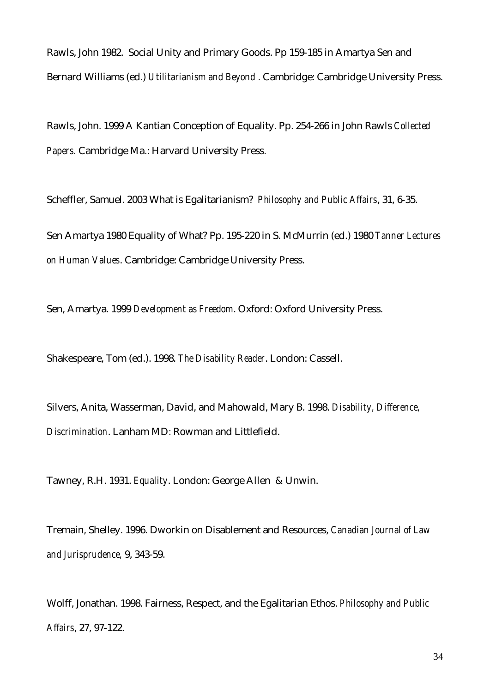Rawls, John 1982. Social Unity and Primary Goods. Pp 159-185 in Amartya Sen and Bernard Williams (ed.) *Utilitarianism and Beyond* . Cambridge: Cambridge University Press.

Rawls, John. 1999 A Kantian Conception of Equality. Pp. 254-266 in John Rawls *Collected Papers.* Cambridge Ma.: Harvard University Press.

Scheffler, Samuel. 2003 What is Egalitarianism? *Philosophy and Public Affairs*, 31, 6-35.

Sen Amartya 1980 Equality of What? Pp. 195-220 in S. McMurrin (ed.) 1980 *Tanner Lectures on Human Values*. Cambridge: Cambridge University Press.

Sen, Amartya. 1999 *Development as Freedom*. Oxford: Oxford University Press.

Shakespeare, Tom (ed.). 1998. *The Disability Reader*. London: Cassell.

Silvers, Anita, Wasserman, David, and Mahowald, Mary B. 1998. *Disability, Difference, Discrimination*. Lanham MD: Rowman and Littlefield.

Tawney, R.H. 1931. *Equality*. London: George Allen & Unwin.

Tremain, Shelley. 1996. Dworkin on Disablement and Resources, *Canadian Journal of Law and Jurisprudence,* 9, 343-59.

Wolff, Jonathan. 1998. Fairness, Respect, and the Egalitarian Ethos. *Philosophy and Public Affairs*, 27, 97-122.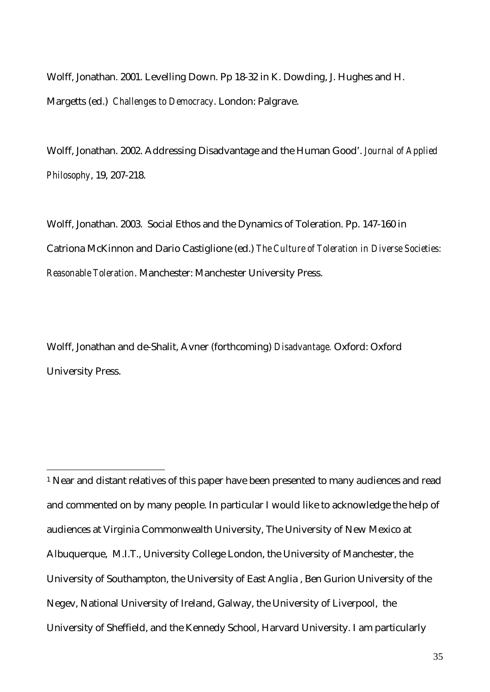Wolff, Jonathan. 2001. Levelling Down. Pp 18-32 in K. Dowding, J. Hughes and H. Margetts (ed.) *Challenges to Democracy*. London: Palgrave.

Wolff, Jonathan. 2002. Addressing Disadvantage and the Human Good'. *Journal of Applied Philosophy*, 19, 207-218.

Wolff, Jonathan. 2003. Social Ethos and the Dynamics of Toleration. Pp. 147-160 in Catriona McKinnon and Dario Castiglione (ed.) *The Culture of Toleration in Diverse Societies: Reasonable Toleration*. Manchester: Manchester University Press.

Wolff, Jonathan and de-Shalit, Avner (forthcoming) *Disadvantage.* Oxford: Oxford University Press.

<u>.</u>

<sup>1</sup> Near and distant relatives of this paper have been presented to many audiences and read and commented on by many people. In particular I would like to acknowledge the help of audiences at Virginia Commonwealth University, The University of New Mexico at Albuquerque, M.I.T., University College London, the University of Manchester, the University of Southampton, the University of East Anglia , Ben Gurion University of the Negev, National University of Ireland, Galway, the University of Liverpool, the University of Sheffield, and the Kennedy School, Harvard University. I am particularly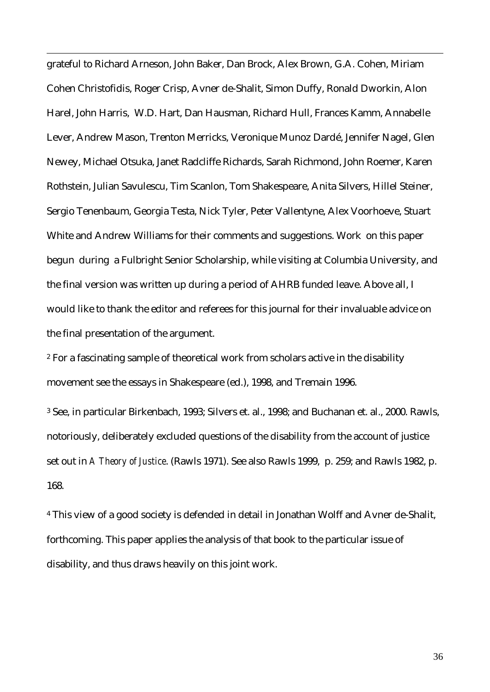grateful to Richard Arneson, John Baker, Dan Brock, Alex Brown, G.A. Cohen, Miriam Cohen Christofidis, Roger Crisp, Avner de-Shalit, Simon Duffy, Ronald Dworkin, Alon Harel, John Harris, W.D. Hart, Dan Hausman, Richard Hull, Frances Kamm, Annabelle Lever, Andrew Mason, Trenton Merricks, Veronique Munoz Dardé, Jennifer Nagel, Glen Newey, Michael Otsuka, Janet Radcliffe Richards, Sarah Richmond, John Roemer, Karen Rothstein, Julian Savulescu, Tim Scanlon, Tom Shakespeare, Anita Silvers, Hillel Steiner, Sergio Tenenbaum, Georgia Testa, Nick Tyler, Peter Vallentyne, Alex Voorhoeve, Stuart White and Andrew Williams for their comments and suggestions. Work on this paper begun during a Fulbright Senior Scholarship, while visiting at Columbia University, and the final version was written up during a period of AHRB funded leave. Above all, I would like to thank the editor and referees for this journal for their invaluable advice on the final presentation of the argument.

<u>.</u>

2 For a fascinating sample of theoretical work from scholars active in the disability movement see the essays in Shakespeare (ed.), 1998, and Tremain 1996.

3 See, in particular Birkenbach, 1993; Silvers et. al., 1998; and Buchanan et. al., 2000. Rawls, notoriously, deliberately excluded questions of the disability from the account of justice set out in *A Theory of Justice*. (Rawls 1971). See also Rawls 1999, p. 259; and Rawls 1982, p. 168.

4 This view of a good society is defended in detail in Jonathan Wolff and Avner de-Shalit, forthcoming. This paper applies the analysis of that book to the particular issue of disability, and thus draws heavily on this joint work.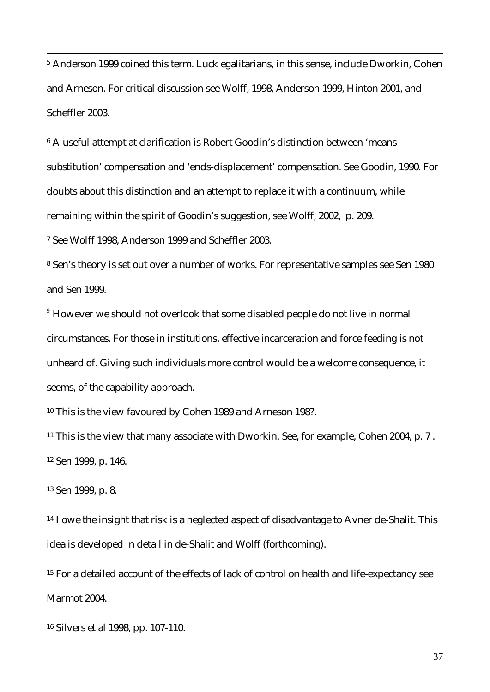5 Anderson 1999 coined this term. Luck egalitarians, in this sense, include Dworkin, Cohen and Arneson. For critical discussion see Wolff, 1998, Anderson 1999, Hinton 2001, and Scheffler 2003.

<sup>6</sup> A useful attempt at clarification is Robert Goodin's distinction between 'meanssubstitution' compensation and 'ends-displacement' compensation. See Goodin, 1990. For doubts about this distinction and an attempt to replace it with a continuum, while remaining within the spirit of Goodin's suggestion, see Wolff, 2002, p. 209.

7 See Wolff 1998, Anderson 1999 and Scheffler 2003.

8 Sen's theory is set out over a number of works. For representative samples see Sen 1980 and Sen 1999.

 $9$  However we should not overlook that some disabled people do not live in normal circumstances. For those in institutions, effective incarceration and force feeding is not unheard of. Giving such individuals more control would be a welcome consequence, it seems, of the capability approach.

10 This is the view favoured by Cohen 1989 and Arneson 198?.

<sup>11</sup> This is the view that many associate with Dworkin. See, for example, Cohen 2004, p. 7. 12 Sen 1999, p. 146.

13 Sen 1999, p. 8.

<u>.</u>

<sup>14</sup> I owe the insight that risk is a neglected aspect of disadvantage to Avner de-Shalit. This idea is developed in detail in de-Shalit and Wolff (forthcoming).

<sup>15</sup> For a detailed account of the effects of lack of control on health and life-expectancy see Marmot 2004.

16 Silvers et al 1998, pp. 107-110.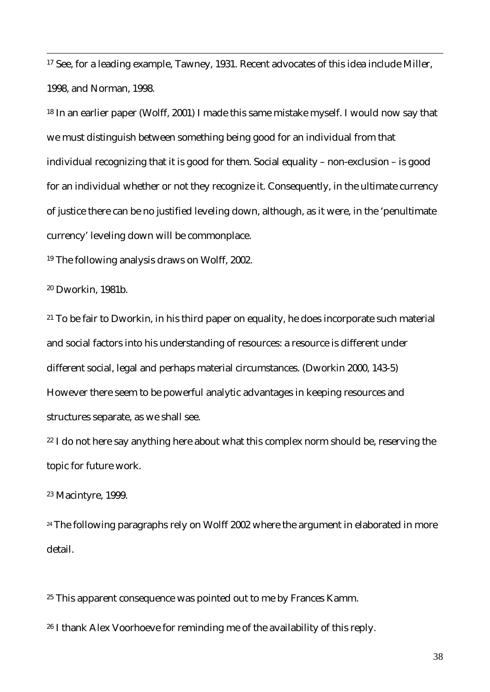17 See, for a leading example, Tawney, 1931. Recent advocates of this idea include Miller, 1998, and Norman, 1998.

18 In an earlier paper (Wolff, 2001) I made this same mistake myself. I would now say that we must distinguish between something being good for an individual from that individual recognizing that it is good for them. Social equality – non-exclusion – is good for an individual whether or not they recognize it. Consequently, in the ultimate currency of justice there can be no justified leveling down, although, as it were, in the 'penultimate currency' leveling down will be commonplace.

19 The following analysis draws on Wolff, 2002.

20 Dworkin, 1981b.

<u>.</u>

<sup>21</sup> To be fair to Dworkin, in his third paper on equality, he does incorporate such material and social factors into his understanding of resources: a resource is different under different social, legal and perhaps material circumstances. (Dworkin 2000, 143-5) However there seem to be powerful analytic advantages in keeping resources and structures separate, as we shall see.

<sup>22</sup> I do not here say anything here about what this complex norm should be, reserving the topic for future work.

23 Macintyre, 1999.

<sup>24</sup> The following paragraphs rely on Wolff 2002 where the argument in elaborated in more detail.

<sup>25</sup> This apparent consequence was pointed out to me by Frances Kamm.

26 I thank Alex Voorhoeve for reminding me of the availability of this reply.